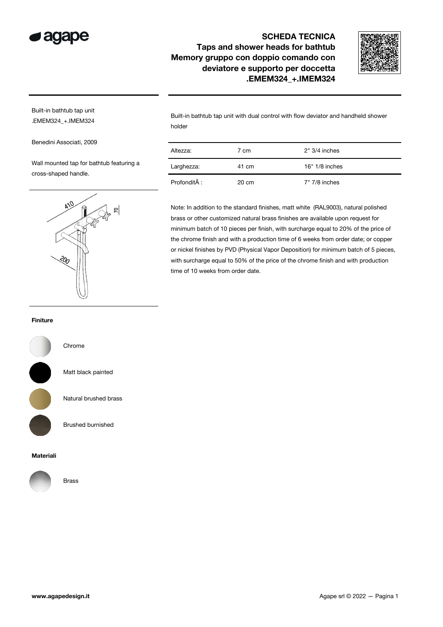

## SCHEDA TECNICA Taps and shower heads for bathtub Memory gruppo con doppio comando con deviatore e supporto per doccetta .EMEM324\_+.IMEM324



Built-in bathtub tap unit .EMEM324\_+.IMEM324

Benedini Associati, 2009

Wall mounted tap for bathtub featuring a cross-shaped handle.



Built-in bathtub tap unit with dual control with flow deviator and handheld shower holder

| Altezza:     | 7 cm            | $2" 3/4$ inches  |
|--------------|-----------------|------------------|
| Larghezza:   | 41 cm           | $16" 1/8$ inches |
| Profondità : | $20 \text{ cm}$ | $7"$ 7/8 inches  |

Note: In addition to the standard finishes, matt white (RAL9003), natural polished brass or other customized natural brass finishes are available upon request for minimum batch of 10 pieces per finish, with surcharge equal to 20% of the price of the chrome finish and with a production time of 6 weeks from order date; or copper or nickel finishes by PVD (Physical Vapor Deposition) for minimum batch of 5 pieces, with surcharge equal to 50% of the price of the chrome finish and with production time of 10 weeks from order date.

## Finiture



Chrome

Matt black painted

Natural brushed brass

Brushed burnished

## Materiali



Brass